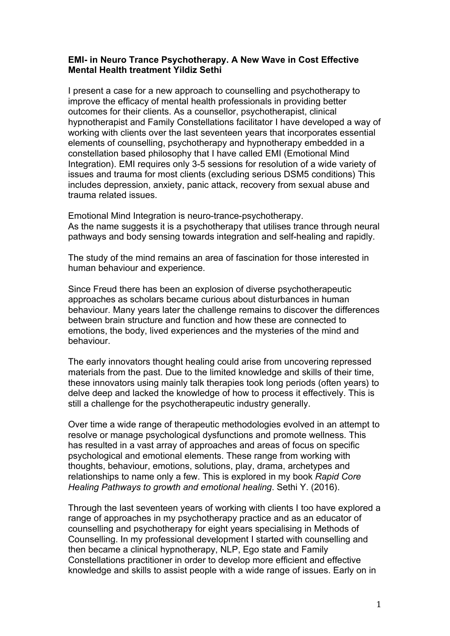## **EMI- in Neuro Trance Psychotherapy. A New Wave in Cost Effective Mental Health treatment Yildiz Sethi**

I present a case for a new approach to counselling and psychotherapy to improve the efficacy of mental health professionals in providing better outcomes for their clients. As a counsellor, psychotherapist, clinical hypnotherapist and Family Constellations facilitator I have developed a way of working with clients over the last seventeen years that incorporates essential elements of counselling, psychotherapy and hypnotherapy embedded in a constellation based philosophy that I have called EMI (Emotional Mind Integration). EMI requires only 3-5 sessions for resolution of a wide variety of issues and trauma for most clients (excluding serious DSM5 conditions) This includes depression, anxiety, panic attack, recovery from sexual abuse and trauma related issues.

Emotional Mind Integration is neuro-trance-psychotherapy. As the name suggests it is a psychotherapy that utilises trance through neural pathways and body sensing towards integration and self-healing and rapidly.

The study of the mind remains an area of fascination for those interested in human behaviour and experience.

Since Freud there has been an explosion of diverse psychotherapeutic approaches as scholars became curious about disturbances in human behaviour. Many years later the challenge remains to discover the differences between brain structure and function and how these are connected to emotions, the body, lived experiences and the mysteries of the mind and behaviour.

The early innovators thought healing could arise from uncovering repressed materials from the past. Due to the limited knowledge and skills of their time, these innovators using mainly talk therapies took long periods (often years) to delve deep and lacked the knowledge of how to process it effectively. This is still a challenge for the psychotherapeutic industry generally.

Over time a wide range of therapeutic methodologies evolved in an attempt to resolve or manage psychological dysfunctions and promote wellness. This has resulted in a vast array of approaches and areas of focus on specific psychological and emotional elements. These range from working with thoughts, behaviour, emotions, solutions, play, drama, archetypes and relationships to name only a few. This is explored in my book *Rapid Core Healing Pathways to growth and emotional healing*. Sethi Y. (2016).

Through the last seventeen years of working with clients I too have explored a range of approaches in my psychotherapy practice and as an educator of counselling and psychotherapy for eight years specialising in Methods of Counselling. In my professional development I started with counselling and then became a clinical hypnotherapy, NLP, Ego state and Family Constellations practitioner in order to develop more efficient and effective knowledge and skills to assist people with a wide range of issues. Early on in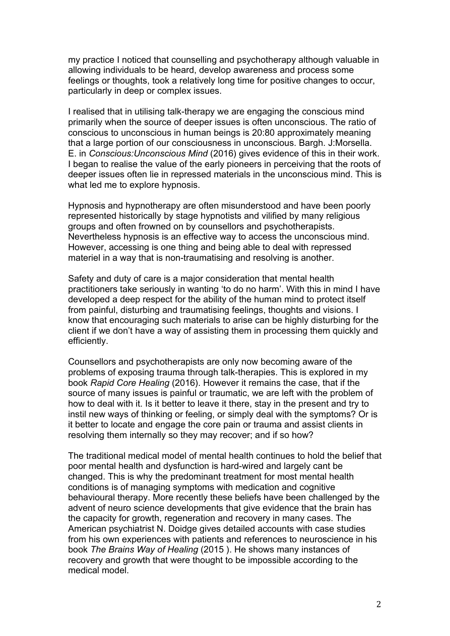my practice I noticed that counselling and psychotherapy although valuable in allowing individuals to be heard, develop awareness and process some feelings or thoughts, took a relatively long time for positive changes to occur, particularly in deep or complex issues.

I realised that in utilising talk-therapy we are engaging the conscious mind primarily when the source of deeper issues is often unconscious. The ratio of conscious to unconscious in human beings is 20:80 approximately meaning that a large portion of our consciousness in unconscious. Bargh. J:Morsella. E. in *Conscious:Unconscious Mind* (2016) gives evidence of this in their work. I began to realise the value of the early pioneers in perceiving that the roots of deeper issues often lie in repressed materials in the unconscious mind. This is what led me to explore hypnosis.

Hypnosis and hypnotherapy are often misunderstood and have been poorly represented historically by stage hypnotists and vilified by many religious groups and often frowned on by counsellors and psychotherapists. Nevertheless hypnosis is an effective way to access the unconscious mind. However, accessing is one thing and being able to deal with repressed materiel in a way that is non-traumatising and resolving is another.

Safety and duty of care is a major consideration that mental health practitioners take seriously in wanting 'to do no harm'. With this in mind I have developed a deep respect for the ability of the human mind to protect itself from painful, disturbing and traumatising feelings, thoughts and visions. I know that encouraging such materials to arise can be highly disturbing for the client if we don't have a way of assisting them in processing them quickly and efficiently.

Counsellors and psychotherapists are only now becoming aware of the problems of exposing trauma through talk-therapies. This is explored in my book *Rapid Core Healing* (2016). However it remains the case, that if the source of many issues is painful or traumatic, we are left with the problem of how to deal with it. Is it better to leave it there, stay in the present and try to instil new ways of thinking or feeling, or simply deal with the symptoms? Or is it better to locate and engage the core pain or trauma and assist clients in resolving them internally so they may recover; and if so how?

The traditional medical model of mental health continues to hold the belief that poor mental health and dysfunction is hard-wired and largely cant be changed. This is why the predominant treatment for most mental health conditions is of managing symptoms with medication and cognitive behavioural therapy. More recently these beliefs have been challenged by the advent of neuro science developments that give evidence that the brain has the capacity for growth, regeneration and recovery in many cases. The American psychiatrist N. Doidge gives detailed accounts with case studies from his own experiences with patients and references to neuroscience in his book *The Brains Way of Healing* (2015 ). He shows many instances of recovery and growth that were thought to be impossible according to the medical model.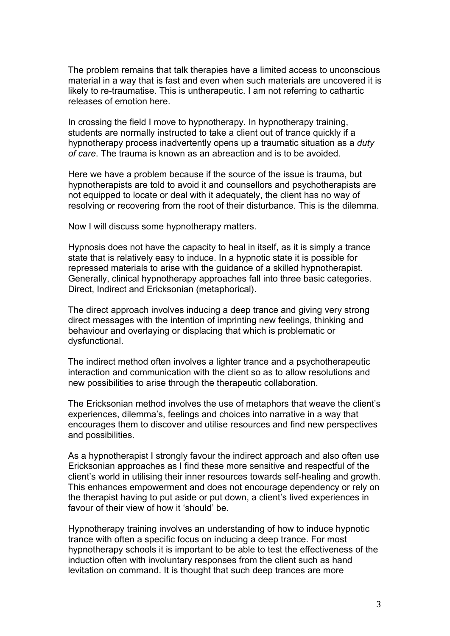The problem remains that talk therapies have a limited access to unconscious material in a way that is fast and even when such materials are uncovered it is likely to re-traumatise. This is untherapeutic. I am not referring to cathartic releases of emotion here.

In crossing the field I move to hypnotherapy. In hypnotherapy training, students are normally instructed to take a client out of trance quickly if a hypnotherapy process inadvertently opens up a traumatic situation as a *duty of care*. The trauma is known as an abreaction and is to be avoided.

Here we have a problem because if the source of the issue is trauma, but hypnotherapists are told to avoid it and counsellors and psychotherapists are not equipped to locate or deal with it adequately, the client has no way of resolving or recovering from the root of their disturbance. This is the dilemma.

Now I will discuss some hypnotherapy matters.

Hypnosis does not have the capacity to heal in itself, as it is simply a trance state that is relatively easy to induce. In a hypnotic state it is possible for repressed materials to arise with the guidance of a skilled hypnotherapist. Generally, clinical hypnotherapy approaches fall into three basic categories. Direct, Indirect and Ericksonian (metaphorical).

The direct approach involves inducing a deep trance and giving very strong direct messages with the intention of imprinting new feelings, thinking and behaviour and overlaying or displacing that which is problematic or dysfunctional.

The indirect method often involves a lighter trance and a psychotherapeutic interaction and communication with the client so as to allow resolutions and new possibilities to arise through the therapeutic collaboration.

The Ericksonian method involves the use of metaphors that weave the client's experiences, dilemma's, feelings and choices into narrative in a way that encourages them to discover and utilise resources and find new perspectives and possibilities.

As a hypnotherapist I strongly favour the indirect approach and also often use Ericksonian approaches as I find these more sensitive and respectful of the client's world in utilising their inner resources towards self-healing and growth. This enhances empowerment and does not encourage dependency or rely on the therapist having to put aside or put down, a client's lived experiences in favour of their view of how it 'should' be.

Hypnotherapy training involves an understanding of how to induce hypnotic trance with often a specific focus on inducing a deep trance. For most hypnotherapy schools it is important to be able to test the effectiveness of the induction often with involuntary responses from the client such as hand levitation on command. It is thought that such deep trances are more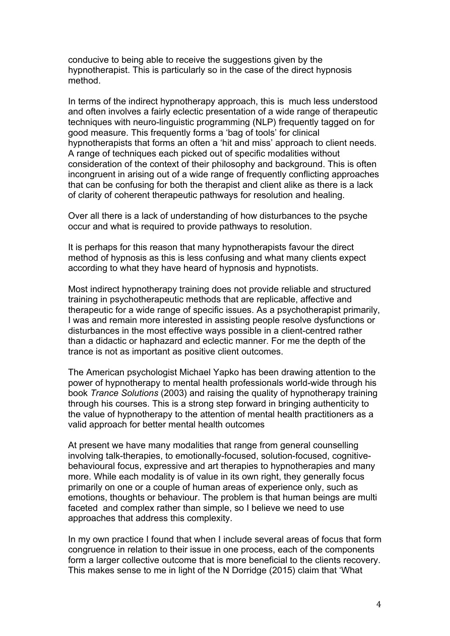conducive to being able to receive the suggestions given by the hypnotherapist. This is particularly so in the case of the direct hypnosis method.

In terms of the indirect hypnotherapy approach, this is much less understood and often involves a fairly eclectic presentation of a wide range of therapeutic techniques with neuro-linguistic programming (NLP) frequently tagged on for good measure. This frequently forms a 'bag of tools' for clinical hypnotherapists that forms an often a 'hit and miss' approach to client needs. A range of techniques each picked out of specific modalities without consideration of the context of their philosophy and background. This is often incongruent in arising out of a wide range of frequently conflicting approaches that can be confusing for both the therapist and client alike as there is a lack of clarity of coherent therapeutic pathways for resolution and healing.

Over all there is a lack of understanding of how disturbances to the psyche occur and what is required to provide pathways to resolution.

It is perhaps for this reason that many hypnotherapists favour the direct method of hypnosis as this is less confusing and what many clients expect according to what they have heard of hypnosis and hypnotists.

Most indirect hypnotherapy training does not provide reliable and structured training in psychotherapeutic methods that are replicable, affective and therapeutic for a wide range of specific issues. As a psychotherapist primarily, I was and remain more interested in assisting people resolve dysfunctions or disturbances in the most effective ways possible in a client-centred rather than a didactic or haphazard and eclectic manner. For me the depth of the trance is not as important as positive client outcomes.

The American psychologist Michael Yapko has been drawing attention to the power of hypnotherapy to mental health professionals world-wide through his book *Trance Solutions* (2003) and raising the quality of hypnotherapy training through his courses. This is a strong step forward in bringing authenticity to the value of hypnotherapy to the attention of mental health practitioners as a valid approach for better mental health outcomes

At present we have many modalities that range from general counselling involving talk-therapies, to emotionally-focused, solution-focused, cognitivebehavioural focus, expressive and art therapies to hypnotherapies and many more. While each modality is of value in its own right, they generally focus primarily on one or a couple of human areas of experience only, such as emotions, thoughts or behaviour. The problem is that human beings are multi faceted and complex rather than simple, so I believe we need to use approaches that address this complexity.

In my own practice I found that when I include several areas of focus that form congruence in relation to their issue in one process, each of the components form a larger collective outcome that is more beneficial to the clients recovery. This makes sense to me in light of the N Dorridge (2015) claim that 'What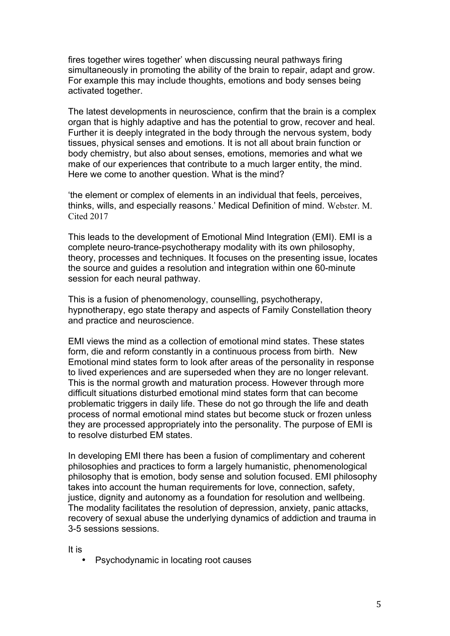fires together wires together' when discussing neural pathways firing simultaneously in promoting the ability of the brain to repair, adapt and grow. For example this may include thoughts, emotions and body senses being activated together.

The latest developments in neuroscience, confirm that the brain is a complex organ that is highly adaptive and has the potential to grow, recover and heal. Further it is deeply integrated in the body through the nervous system, body tissues, physical senses and emotions. It is not all about brain function or body chemistry, but also about senses, emotions, memories and what we make of our experiences that contribute to a much larger entity, the mind. Here we come to another question. What is the mind?

'the element or complex of elements in an individual that feels, perceives, thinks, wills, and especially reasons.' Medical Definition of mind. Webster. M. Cited 2017

This leads to the development of Emotional Mind Integration (EMI). EMI is a complete neuro-trance-psychotherapy modality with its own philosophy, theory, processes and techniques. It focuses on the presenting issue, locates the source and guides a resolution and integration within one 60-minute session for each neural pathway.

This is a fusion of phenomenology, counselling, psychotherapy, hypnotherapy, ego state therapy and aspects of Family Constellation theory and practice and neuroscience.

EMI views the mind as a collection of emotional mind states. These states form, die and reform constantly in a continuous process from birth. New Emotional mind states form to look after areas of the personality in response to lived experiences and are superseded when they are no longer relevant. This is the normal growth and maturation process. However through more difficult situations disturbed emotional mind states form that can become problematic triggers in daily life. These do not go through the life and death process of normal emotional mind states but become stuck or frozen unless they are processed appropriately into the personality. The purpose of EMI is to resolve disturbed EM states.

In developing EMI there has been a fusion of complimentary and coherent philosophies and practices to form a largely humanistic, phenomenological philosophy that is emotion, body sense and solution focused. EMI philosophy takes into account the human requirements for love, connection, safety, justice, dignity and autonomy as a foundation for resolution and wellbeing. The modality facilitates the resolution of depression, anxiety, panic attacks, recovery of sexual abuse the underlying dynamics of addiction and trauma in 3-5 sessions sessions.

It is

• Psychodynamic in locating root causes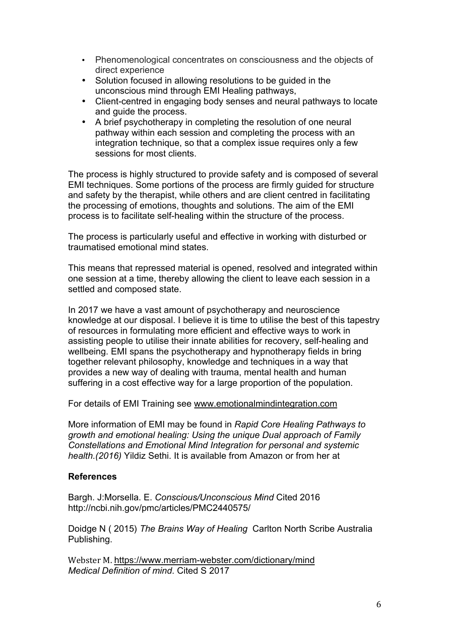- Phenomenological concentrates on consciousness and the objects of direct experience
- Solution focused in allowing resolutions to be guided in the unconscious mind through EMI Healing pathways,
- Client-centred in engaging body senses and neural pathways to locate and guide the process.
- A brief psychotherapy in completing the resolution of one neural pathway within each session and completing the process with an integration technique, so that a complex issue requires only a few sessions for most clients.

The process is highly structured to provide safety and is composed of several EMI techniques. Some portions of the process are firmly guided for structure and safety by the therapist, while others and are client centred in facilitating the processing of emotions, thoughts and solutions. The aim of the EMI process is to facilitate self-healing within the structure of the process.

The process is particularly useful and effective in working with disturbed or traumatised emotional mind states.

This means that repressed material is opened, resolved and integrated within one session at a time, thereby allowing the client to leave each session in a settled and composed state.

In 2017 we have a vast amount of psychotherapy and neuroscience knowledge at our disposal. I believe it is time to utilise the best of this tapestry of resources in formulating more efficient and effective ways to work in assisting people to utilise their innate abilities for recovery, self-healing and wellbeing. EMI spans the psychotherapy and hypnotherapy fields in bring together relevant philosophy, knowledge and techniques in a way that provides a new way of dealing with trauma, mental health and human suffering in a cost effective way for a large proportion of the population.

For details of EMI Training see www.emotionalmindintegration.com

More information of EMI may be found in *Rapid Core Healing Pathways to growth and emotional healing: Using the unique Dual approach of Family Constellations and Emotional Mind Integration for personal and systemic health.(2016)* Yildiz Sethi. It is available from Amazon or from her at

## **References**

Bargh. J:Morsella. E. *Conscious/Unconscious Mind* Cited 2016 http://ncbi.nih.gov/pmc/articles/PMC2440575/

Doidge N ( 2015) *The Brains Way of Healing* Carlton North Scribe Australia Publishing.

Webster M. https://www.merriam-webster.com/dictionary/mind *Medical Definition of mind*. Cited S 2017